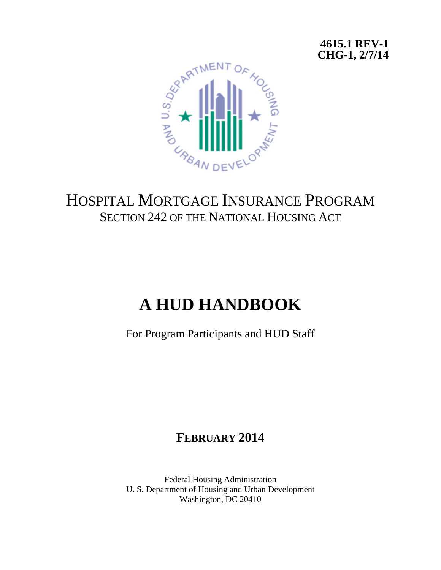



# SECTION 242 OF THE NATIONAL HOUSING ACT

# **A HUD HANDBOOK**

For Program Participants and HUD Staff

# **FEBRUARY 2014**

Federal Housing Administration U. S. Department of Housing and Urban Development Washington, DC 20410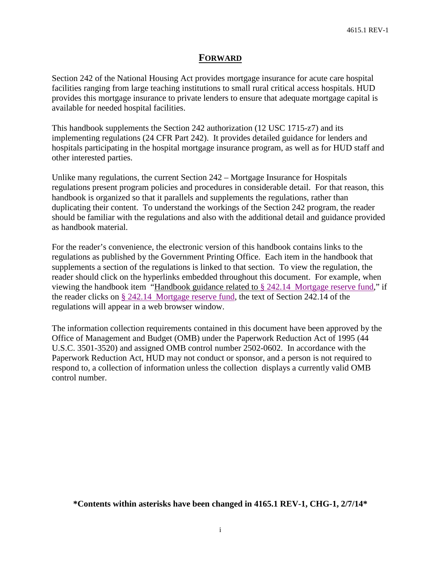#### **FORWARD**

Section 242 of the National Housing Act provides mortgage insurance for acute care hospital facilities ranging from large teaching institutions to small rural critical access hospitals. HUD provides this mortgage insurance to private lenders to ensure that adequate mortgage capital is available for needed hospital facilities.

This handbook supplements the Section 242 authorization (12 USC 1715-z7) and its implementing regulations (24 CFR Part 242). It provides detailed guidance for lenders and hospitals participating in the hospital mortgage insurance program, as well as for HUD staff and other interested parties.

Unlike many regulations, the current Section 242 – Mortgage Insurance for Hospitals regulations present program policies and procedures in considerable detail. For that reason, this handbook is organized so that it parallels and supplements the regulations, rather than duplicating their content. To understand the workings of the Section 242 program, the reader should be familiar with the regulations and also with the additional detail and guidance provided as handbook material.

For the reader's convenience, the electronic version of this handbook contains links to the regulations as published by the Government Printing Office. Each item in the handbook that supplements a section of the regulations is linked to that section. To view the regulation, the reader should click on the hyperlinks embedded throughout this document. For example, when viewing the handbook item "Handbook guidance related to  $\S$  242.14 Mortgage reserve fund," if the reader clicks on [§ 242.14 Mortgage reserve fund,](http://www.ecfr.gov/cgi-bin/text-idx?SID=6a2ea4601c11768df5381275aea632d0&mc=true&node=pt24.2.242&rgn=div5#se24.2.242_114) the text of Section 242.14 of the regulations will appear in a web browser window.

The information collection requirements contained in this document have been approved by the Office of Management and Budget (OMB) under the Paperwork Reduction Act of 1995 (44 U.S.C. 3501-3520) and assigned OMB control number 2502-0602. In accordance with the Paperwork Reduction Act, HUD may not conduct or sponsor, and a person is not required to respond to, a collection of information unless the collection displays a currently valid OMB control number.

**\*Contents within asterisks have been changed in 4165.1 REV-1, CHG-1, 2/7/14\***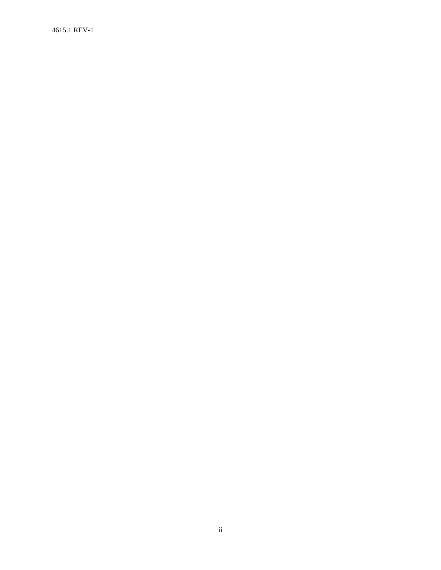4615.1 REV-1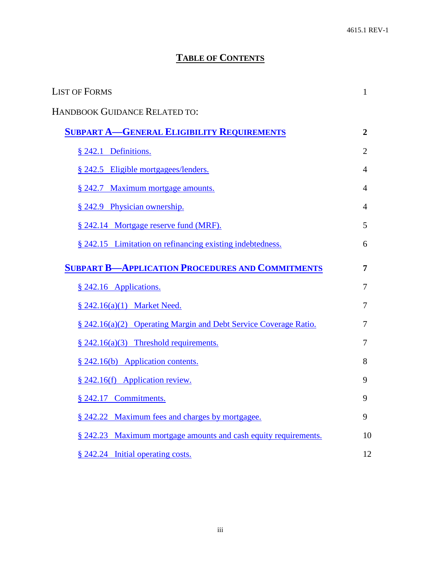## **TABLE OF CONTENTS**

| <b>LIST OF FORMS</b>                                                |                |
|---------------------------------------------------------------------|----------------|
| HANDBOOK GUIDANCE RELATED TO:                                       |                |
| <b>SUBPART A-GENERAL ELIGIBILITY REQUIREMENTS</b>                   | $\overline{2}$ |
| § 242.1 Definitions.                                                | $\overline{2}$ |
| § 242.5 Eligible mortgagees/lenders.                                | 4              |
| § 242.7 Maximum mortgage amounts.                                   | 4              |
| § 242.9 Physician ownership.                                        | 4              |
| § 242.14 Mortgage reserve fund (MRF).                               | 5              |
| § 242.15 Limitation on refinancing existing indebtedness.           | 6              |
| <b>SUBPART B-APPLICATION PROCEDURES AND COMMITMENTS</b>             | 7              |
| § 242.16 Applications.                                              | 7              |
| § 242.16(a)(1) Market Need.                                         | 7              |
| $\S$ 242.16(a)(2) Operating Margin and Debt Service Coverage Ratio. | 7              |
| $$242.16(a)(3)$ Threshold requirements.                             | 7              |
| § 242.16(b) Application contents.                                   | 8              |
| § 242.16(f) Application review.                                     | 9              |
| § 242.17 Commitments.                                               | 9              |
| § 242.22 Maximum fees and charges by mortgagee.                     | 9              |
| § 242.23 Maximum mortgage amounts and cash equity requirements.     | 10             |
| § 242.24 Initial operating costs.                                   | 12             |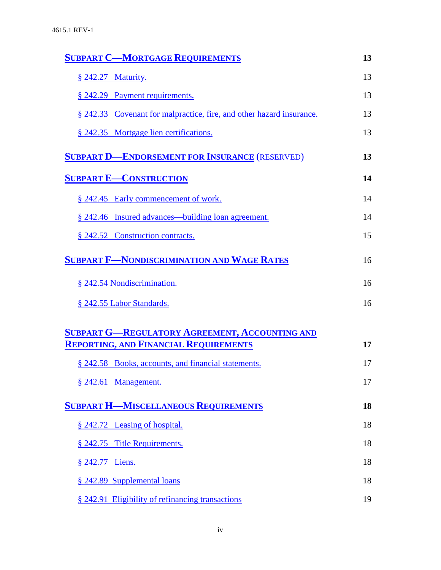| <b>SUBPART C-MORTGAGE REQUIREMENTS</b>                               | 13 |
|----------------------------------------------------------------------|----|
| § 242.27 Maturity.                                                   | 13 |
| § 242.29 Payment requirements.                                       | 13 |
| § 242.33 Covenant for malpractice, fire, and other hazard insurance. | 13 |
| § 242.35 Mortgage lien certifications.                               | 13 |
| <b>SUBPART D-ENDORSEMENT FOR INSURANCE (RESERVED)</b>                | 13 |
| <b>SUBPART E-CONSTRUCTION</b>                                        | 14 |
| § 242.45 Early commencement of work.                                 | 14 |
| § 242.46 Insured advances—building loan agreement.                   | 14 |
| § 242.52 Construction contracts.                                     | 15 |
| <b>SUBPART F-NONDISCRIMINATION AND WAGE RATES</b>                    | 16 |
| § 242.54 Nondiscrimination.                                          | 16 |
| § 242.55 Labor Standards.                                            | 16 |
| <b>SUBPART G-REGULATORY AGREEMENT, ACCOUNTING AND</b>                |    |
| <b>REPORTING, AND FINANCIAL REQUIREMENTS</b>                         | 17 |
| § 242.58 Books, accounts, and financial statements.                  | 17 |
| $§$ 242.61 Management.                                               | 17 |
| <b>SUBPART H-MISCELLANEOUS REQUIREMENTS</b>                          | 18 |
| § 242.72 Leasing of hospital.                                        | 18 |
| § 242.75 Title Requirements.                                         | 18 |
| § 242.77 Liens.                                                      | 18 |
| § 242.89 Supplemental loans                                          | 18 |
| § 242.91 Eligibility of refinancing transactions                     | 19 |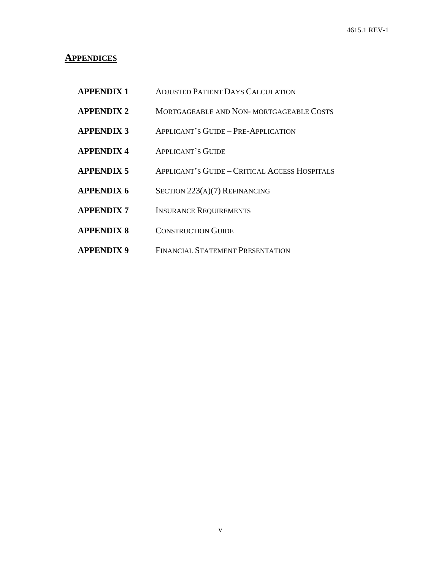#### **APPENDICES**

- **APPENDIX 1** ADJUSTED PATIENT DAYS CALCULATION
- **APPENDIX 2** MORTGAGEABLE AND NON- MORTGAGEABLE COSTS
- **APPENDIX 3** APPLICANT'S GUIDE PRE-APPLICATION
- **APPENDIX 4** APPLICANT'S GUIDE
- **APPENDIX 5** APPLICANT'S GUIDE CRITICAL ACCESS HOSPITALS
- **APPENDIX 6** SECTION 223(A)(7) REFINANCING
- **APPENDIX 7** INSURANCE REQUIREMENTS
- **APPENDIX 8** CONSTRUCTION GUIDE
- **APPENDIX 9** FINANCIAL STATEMENT PRESENTATION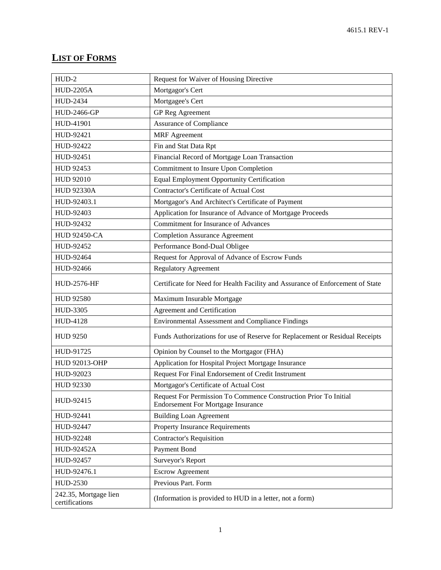## **LIST OF FORMS**

| $HUD-2$                                 | Request for Waiver of Housing Directive                                                                       |
|-----------------------------------------|---------------------------------------------------------------------------------------------------------------|
| <b>HUD-2205A</b>                        | Mortgagor's Cert                                                                                              |
| HUD-2434                                | Mortgagee's Cert                                                                                              |
| <b>HUD-2466-GP</b>                      | <b>GP</b> Reg Agreement                                                                                       |
| HUD-41901                               | Assurance of Compliance                                                                                       |
| HUD-92421                               | <b>MRF</b> Agreement                                                                                          |
| HUD-92422                               | Fin and Stat Data Rpt                                                                                         |
| HUD-92451                               | Financial Record of Mortgage Loan Transaction                                                                 |
| HUD 92453                               | Commitment to Insure Upon Completion                                                                          |
| <b>HUD 92010</b>                        | <b>Equal Employment Opportunity Certification</b>                                                             |
| <b>HUD 92330A</b>                       | <b>Contractor's Certificate of Actual Cost</b>                                                                |
| HUD-92403.1                             | Mortgagor's And Architect's Certificate of Payment                                                            |
| HUD-92403                               | Application for Insurance of Advance of Mortgage Proceeds                                                     |
| HUD-92432                               | <b>Commitment for Insurance of Advances</b>                                                                   |
| <b>HUD 92450-CA</b>                     | <b>Completion Assurance Agreement</b>                                                                         |
| HUD-92452                               | Performance Bond-Dual Obligee                                                                                 |
| HUD-92464                               | Request for Approval of Advance of Escrow Funds                                                               |
| HUD-92466                               | <b>Regulatory Agreement</b>                                                                                   |
| <b>HUD-2576-HF</b>                      | Certificate for Need for Health Facility and Assurance of Enforcement of State                                |
| <b>HUD 92580</b>                        | Maximum Insurable Mortgage                                                                                    |
| HUD-3305                                | Agreement and Certification                                                                                   |
| HUD-4128                                | Environmental Assessment and Compliance Findings                                                              |
| <b>HUD 9250</b>                         | Funds Authorizations for use of Reserve for Replacement or Residual Receipts                                  |
| HUD-91725                               | Opinion by Counsel to the Mortgagor (FHA)                                                                     |
| HUD 92013-OHP                           | Application for Hospital Project Mortgage Insurance                                                           |
| HUD-92023                               | Request For Final Endorsement of Credit Instrument                                                            |
| HUD 92330                               | Mortgagor's Certificate of Actual Cost                                                                        |
| HUD-92415                               | Request For Permission To Commence Construction Prior To Initial<br><b>Endorsement For Mortgage Insurance</b> |
| HUD-92441                               | <b>Building Loan Agreement</b>                                                                                |
| HUD-92447                               | Property Insurance Requirements                                                                               |
| HUD-92248                               | <b>Contractor's Requisition</b>                                                                               |
| HUD-92452A                              | Payment Bond                                                                                                  |
| HUD-92457                               | Surveyor's Report                                                                                             |
| HUD-92476.1                             | <b>Escrow Agreement</b>                                                                                       |
| HUD-2530                                | Previous Part. Form                                                                                           |
| 242.35, Mortgage lien<br>certifications | (Information is provided to HUD in a letter, not a form)                                                      |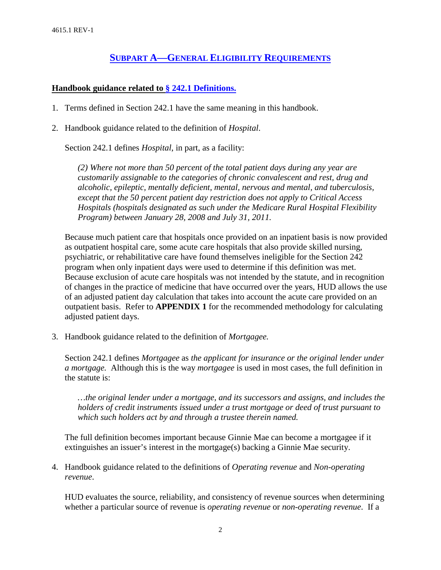#### **[S](http://www.ecfr.gov/cgi-bin/text-idx?SID=6a2ea4601c11768df5381275aea632d0&mc=true&node=pt24.2.242&rgn=div5#sp24.2.242.a)[UBPART](http://www.ecfr.gov/cgi-bin/text-idx?SID=6a2ea4601c11768df5381275aea632d0&mc=true&node=pt24.2.242&rgn=div5#sp24.2.242.a) [A—G](http://www.ecfr.gov/cgi-bin/text-idx?SID=6a2ea4601c11768df5381275aea632d0&mc=true&node=pt24.2.242&rgn=div5#sp24.2.242.a)[ENERAL](http://www.ecfr.gov/cgi-bin/text-idx?SID=6a2ea4601c11768df5381275aea632d0&mc=true&node=pt24.2.242&rgn=div5#sp24.2.242.a) [E](http://www.ecfr.gov/cgi-bin/text-idx?SID=6a2ea4601c11768df5381275aea632d0&mc=true&node=pt24.2.242&rgn=div5#sp24.2.242.a)[LIGIBILITY](http://www.ecfr.gov/cgi-bin/text-idx?SID=6a2ea4601c11768df5381275aea632d0&mc=true&node=pt24.2.242&rgn=div5#sp24.2.242.a) [R](http://www.ecfr.gov/cgi-bin/text-idx?SID=6a2ea4601c11768df5381275aea632d0&mc=true&node=pt24.2.242&rgn=div5#sp24.2.242.a)[EQUIREMENTS](http://www.ecfr.gov/cgi-bin/text-idx?SID=6a2ea4601c11768df5381275aea632d0&mc=true&node=pt24.2.242&rgn=div5#sp24.2.242.a)**

#### **Handbook guidance related to [§ 242.1 Definitions.](http://www.ecfr.gov/cgi-bin/text-idx?SID=6a2ea4601c11768df5381275aea632d0&mc=true&node=pt24.2.242&rgn=div5#se24.2.242_11)**

- 1. Terms defined in Section 242.1 have the same meaning in this handbook.
- 2. Handbook guidance related to the definition of *Hospital*.

Section 242.1 defines *Hospital*, in part, as a facility:

*(2) Where not more than 50 percent of the total patient days during any year are customarily assignable to the categories of chronic convalescent and rest, drug and alcoholic, epileptic, mentally deficient, mental, nervous and mental, and tuberculosis, except that the 50 percent patient day restriction does not apply to Critical Access Hospitals (hospitals designated as such under the Medicare Rural Hospital Flexibility Program) between January 28, 2008 and July 31, 2011.* 

Because much patient care that hospitals once provided on an inpatient basis is now provided as outpatient hospital care, some acute care hospitals that also provide skilled nursing, psychiatric, or rehabilitative care have found themselves ineligible for the Section 242 program when only inpatient days were used to determine if this definition was met. Because exclusion of acute care hospitals was not intended by the statute, and in recognition of changes in the practice of medicine that have occurred over the years, HUD allows the use of an adjusted patient day calculation that takes into account the acute care provided on an outpatient basis. Refer to **APPENDIX 1** for the recommended methodology for calculating adjusted patient days.

3. Handbook guidance related to the definition of *Mortgagee.* 

Section 242.1 defines *Mortgagee* as *the applicant for insurance or the original lender under a mortgage.* Although this is the way *mortgagee* is used in most cases, the full definition in the statute is:

*…the original lender under a mortgage, and its successors and assigns, and includes the holders of credit instruments issued under a trust mortgage or deed of trust pursuant to which such holders act by and through a trustee therein named.*

The full definition becomes important because Ginnie Mae can become a mortgagee if it extinguishes an issuer's interest in the mortgage(s) backing a Ginnie Mae security.

4. Handbook guidance related to the definitions of *Operating revenue* and *Non-operating revenue*.

HUD evaluates the source, reliability, and consistency of revenue sources when determining whether a particular source of revenue is *operating revenue* or *non-operating revenue*. If a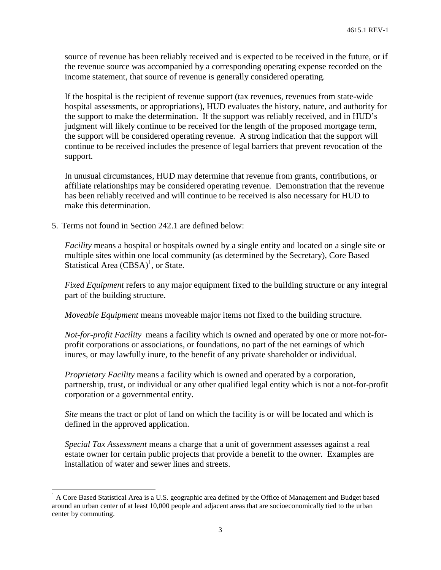source of revenue has been reliably received and is expected to be received in the future, or if the revenue source was accompanied by a corresponding operating expense recorded on the income statement, that source of revenue is generally considered operating.

If the hospital is the recipient of revenue support (tax revenues, revenues from state-wide hospital assessments, or appropriations), HUD evaluates the history, nature, and authority for the support to make the determination. If the support was reliably received, and in HUD's judgment will likely continue to be received for the length of the proposed mortgage term, the support will be considered operating revenue. A strong indication that the support will continue to be received includes the presence of legal barriers that prevent revocation of the support.

In unusual circumstances, HUD may determine that revenue from grants, contributions, or affiliate relationships may be considered operating revenue. Demonstration that the revenue has been reliably received and will continue to be received is also necessary for HUD to make this determination.

5. Terms not found in Section 242.1 are defined below:

*Facility* means a hospital or hospitals owned by a single entity and located on a single site or multiple sites within one local community (as determined by the Secretary), Core Based Statistical Area  $(CBSA)^1$  $(CBSA)^1$ , or State.

*Fixed Equipment* refers to any major equipment fixed to the building structure or any integral part of the building structure.

*Moveable Equipment* means moveable major items not fixed to the building structure.

*Not-for-profit Facility* means a facility which is owned and operated by one or more not-forprofit corporations or associations, or foundations, no part of the net earnings of which inures, or may lawfully inure, to the benefit of any private shareholder or individual.

*Proprietary Facility* means a facility which is owned and operated by a corporation, partnership, trust, or individual or any other qualified legal entity which is not a not-for-profit corporation or a governmental entity.

*Site* means the tract or plot of land on which the facility is or will be located and which is defined in the approved application.

*Special Tax Assessment* means a charge that a unit of government assesses against a real estate owner for certain public projects that provide a benefit to the owner. Examples are installation of water and sewer lines and streets.

<span id="page-10-0"></span><sup>&</sup>lt;sup>1</sup> A Core Based Statistical Area is a U.S. geographic area defined by the Office of Management and Budget based around an urban center of at least 10,000 people and adjacent areas that are socioeconomically tied to the urban center by commuting.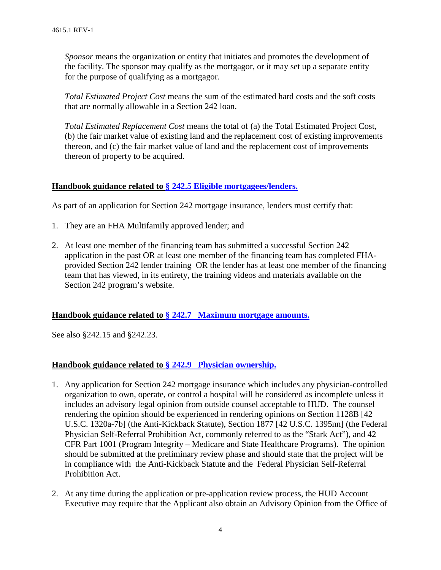*Sponsor* means the organization or entity that initiates and promotes the development of the facility. The sponsor may qualify as the mortgagor, or it may set up a separate entity for the purpose of qualifying as a mortgagor.

*Total Estimated Project Cost* means the sum of the estimated hard costs and the soft costs that are normally allowable in a Section 242 loan.

*Total Estimated Replacement Cost* means the total of (a) the Total Estimated Project Cost, (b) the fair market value of existing land and the replacement cost of existing improvements thereon, and (c) the fair market value of land and the replacement cost of improvements thereon of property to be acquired.

#### **Handbook guidance related to [§ 242.5 Eligible mortgagees/lenders.](http://www.ecfr.gov/cgi-bin/text-idx?SID=6a2ea4601c11768df5381275aea632d0&mc=true&node=pt24.2.242&rgn=div5#se24.2.242_15)**

As part of an application for Section 242 mortgage insurance, lenders must certify that:

- 1. They are an FHA Multifamily approved lender; and
- 2. At least one member of the financing team has submitted a successful Section 242 application in the past OR at least one member of the financing team has completed FHAprovided Section 242 lender training OR the lender has at least one member of the financing team that has viewed, in its entirety, the training videos and materials available on the Section 242 program's website.

#### **Handbook guidance related to [§ 242.7 Maximum mortgage amounts.](http://www.ecfr.gov/cgi-bin/text-idx?SID=6a2ea4601c11768df5381275aea632d0&mc=true&node=pt24.2.242&rgn=div5#se24.2.242_17)**

See also §242.15 and §242.23.

#### **Handbook guidance related to [§ 242.9 Physician ownership.](http://www.ecfr.gov/cgi-bin/text-idx?SID=6a2ea4601c11768df5381275aea632d0&mc=true&node=pt24.2.242&rgn=div5#se24.2.242_19)**

- 1. Any application for Section 242 mortgage insurance which includes any physician-controlled organization to own, operate, or control a hospital will be considered as incomplete unless it includes an advisory legal opinion from outside counsel acceptable to HUD. The counsel rendering the opinion should be experienced in rendering opinions on Section 1128B [42 U.S.C. 1320a-7b] (the Anti-Kickback Statute), Section 1877 [42 U.S.C. 1395nn] (the Federal Physician Self-Referral Prohibition Act, commonly referred to as the "Stark Act"), and 42 CFR Part 1001 (Program Integrity – Medicare and State Healthcare Programs). The opinion should be submitted at the preliminary review phase and should state that the project will be in compliance with the Anti-Kickback Statute and the Federal Physician Self-Referral Prohibition Act.
- 2. At any time during the application or pre-application review process, the HUD Account Executive may require that the Applicant also obtain an Advisory Opinion from the Office of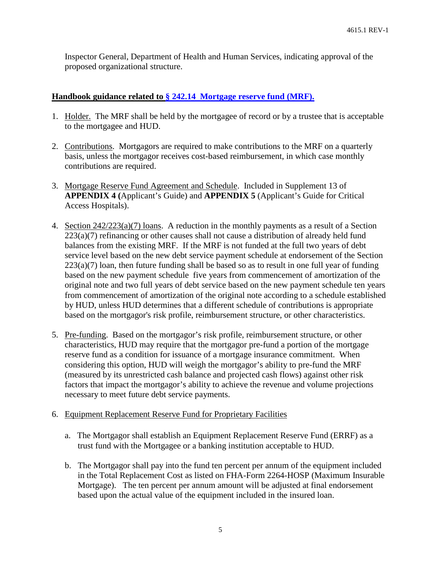Inspector General, Department of Health and Human Services, indicating approval of the proposed organizational structure.

#### **Handbook guidance related to [§ 242.14 Mortgage reserve fund \(MRF\).](http://www.ecfr.gov/cgi-bin/text-idx?SID=6a2ea4601c11768df5381275aea632d0&mc=true&node=pt24.2.242&rgn=div5#se24.2.242_114)**

- 1. Holder. The MRF shall be held by the mortgagee of record or by a trustee that is acceptable to the mortgagee and HUD.
- 2. Contributions. Mortgagors are required to make contributions to the MRF on a quarterly basis, unless the mortgagor receives cost-based reimbursement, in which case monthly contributions are required.
- 3. Mortgage Reserve Fund Agreement and Schedule. Included in Supplement 13 of **APPENDIX 4 (**Applicant's Guide) and **APPENDIX 5** (Applicant's Guide for Critical Access Hospitals).
- 4. Section 242/223(a)(7) loans. A reduction in the monthly payments as a result of a Section  $223(a)(7)$  refinancing or other causes shall not cause a distribution of already held fund balances from the existing MRF. If the MRF is not funded at the full two years of debt service level based on the new debt service payment schedule at endorsement of the Section  $223(a)(7)$  loan, then future funding shall be based so as to result in one full year of funding based on the new payment schedule five years from commencement of amortization of the original note and two full years of debt service based on the new payment schedule ten years from commencement of amortization of the original note according to a schedule established by HUD, unless HUD determines that a different schedule of contributions is appropriate based on the mortgagor's risk profile, reimbursement structure, or other characteristics.
- 5. Pre-funding. Based on the mortgagor's risk profile, reimbursement structure, or other characteristics, HUD may require that the mortgagor pre-fund a portion of the mortgage reserve fund as a condition for issuance of a mortgage insurance commitment. When considering this option, HUD will weigh the mortgagor's ability to pre-fund the MRF (measured by its unrestricted cash balance and projected cash flows) against other risk factors that impact the mortgagor's ability to achieve the revenue and volume projections necessary to meet future debt service payments.
- 6. Equipment Replacement Reserve Fund for Proprietary Facilities
	- a. The Mortgagor shall establish an Equipment Replacement Reserve Fund (ERRF) as a trust fund with the Mortgagee or a banking institution acceptable to HUD.
	- b. The Mortgagor shall pay into the fund ten percent per annum of the equipment included in the Total Replacement Cost as listed on FHA-Form 2264-HOSP (Maximum Insurable Mortgage). The ten percent per annum amount will be adjusted at final endorsement based upon the actual value of the equipment included in the insured loan.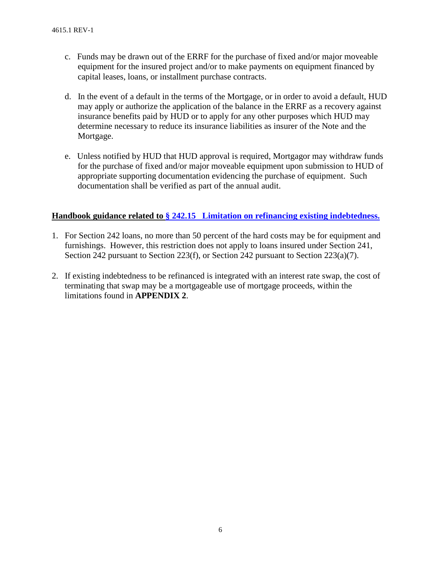- c. Funds may be drawn out of the ERRF for the purchase of fixed and/or major moveable equipment for the insured project and/or to make payments on equipment financed by capital leases, loans, or installment purchase contracts.
- d. In the event of a default in the terms of the Mortgage, or in order to avoid a default, HUD may apply or authorize the application of the balance in the ERRF as a recovery against insurance benefits paid by HUD or to apply for any other purposes which HUD may determine necessary to reduce its insurance liabilities as insurer of the Note and the Mortgage.
- e. Unless notified by HUD that HUD approval is required, Mortgagor may withdraw funds for the purchase of fixed and/or major moveable equipment upon submission to HUD of appropriate supporting documentation evidencing the purchase of equipment. Such documentation shall be verified as part of the annual audit.

#### **Handbook guidance related to [§ 242.15 Limitation on refinancing existing indebtedness.](http://www.ecfr.gov/cgi-bin/text-idx?SID=6a2ea4601c11768df5381275aea632d0&mc=true&node=pt24.2.242&rgn=div5#se24.2.242_115)**

- 1. For Section 242 loans, no more than 50 percent of the hard costs may be for equipment and furnishings. However, this restriction does not apply to loans insured under Section 241, Section 242 pursuant to Section 223(f), or Section 242 pursuant to Section 223(a)(7).
- 2. If existing indebtedness to be refinanced is integrated with an interest rate swap, the cost of terminating that swap may be a mortgageable use of mortgage proceeds, within the limitations found in **APPENDIX 2**.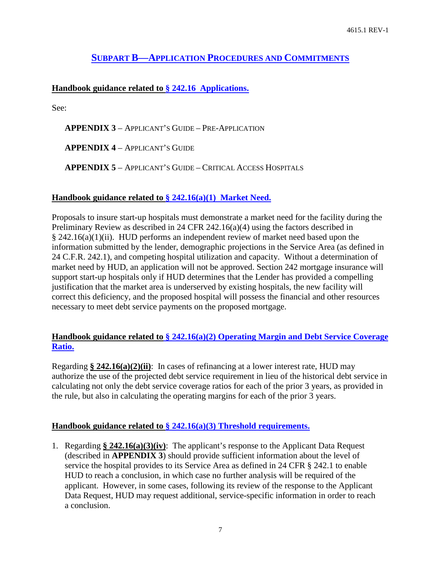#### **[S](http://www.ecfr.gov/cgi-bin/text-idx?SID=6a2ea4601c11768df5381275aea632d0&mc=true&node=pt24.2.242&rgn=div5#sp24.2.242.b)[UBPART](http://www.ecfr.gov/cgi-bin/text-idx?SID=6a2ea4601c11768df5381275aea632d0&mc=true&node=pt24.2.242&rgn=div5#sp24.2.242.b) [B—A](http://www.ecfr.gov/cgi-bin/text-idx?SID=6a2ea4601c11768df5381275aea632d0&mc=true&node=pt24.2.242&rgn=div5#sp24.2.242.b)[PPLICATION](http://www.ecfr.gov/cgi-bin/text-idx?SID=6a2ea4601c11768df5381275aea632d0&mc=true&node=pt24.2.242&rgn=div5#sp24.2.242.b) [P](http://www.ecfr.gov/cgi-bin/text-idx?SID=6a2ea4601c11768df5381275aea632d0&mc=true&node=pt24.2.242&rgn=div5#sp24.2.242.b)[ROCEDURES AND](http://www.ecfr.gov/cgi-bin/text-idx?SID=6a2ea4601c11768df5381275aea632d0&mc=true&node=pt24.2.242&rgn=div5#sp24.2.242.b) [C](http://www.ecfr.gov/cgi-bin/text-idx?SID=6a2ea4601c11768df5381275aea632d0&mc=true&node=pt24.2.242&rgn=div5#sp24.2.242.b)[OMMITMENTS](http://www.ecfr.gov/cgi-bin/text-idx?SID=6a2ea4601c11768df5381275aea632d0&mc=true&node=pt24.2.242&rgn=div5#sp24.2.242.b)**

#### **Handbook guidance related to [§ 242.16 Applications.](http://www.ecfr.gov/cgi-bin/text-idx?SID=6a2ea4601c11768df5381275aea632d0&mc=true&node=pt24.2.242&rgn=div5#se24.2.242_116)**

See:

**APPENDIX 3** – APPLICANT'S GUIDE – PRE-APPLICATION

**APPENDIX 4** – APPLICANT'S GUIDE

**APPENDIX 5** – APPLICANT'S GUIDE – CRITICAL ACCESS HOSPITALS

#### **Handbook guidance related to [§ 242.16\(a\)\(1\) Market Need.](http://www.ecfr.gov/cgi-bin/text-idx?SID=6a2ea4601c11768df5381275aea632d0&mc=true&node=pt24.2.242&rgn=div5#se24.2.242_116)**

Proposals to insure start-up hospitals must demonstrate a market need for the facility during the Preliminary Review as described in 24 CFR 242.16(a)(4) using the factors described in § 242.16(a)(1)(ii). HUD performs an independent review of market need based upon the information submitted by the lender, demographic projections in the Service Area (as defined in 24 C.F.R. 242.1), and competing hospital utilization and capacity. Without a determination of market need by HUD, an application will not be approved. Section 242 mortgage insurance will support start-up hospitals only if HUD determines that the Lender has provided a compelling justification that the market area is underserved by existing hospitals, the new facility will correct this deficiency, and the proposed hospital will possess the financial and other resources necessary to meet debt service payments on the proposed mortgage.

#### **Handbook guidance related to [§ 242.16\(a\)\(2\) Operating Margin and Debt Service Coverage](http://www.ecfr.gov/cgi-bin/text-idx?SID=6a2ea4601c11768df5381275aea632d0&mc=true&node=pt24.2.242&rgn=div5#se24.2.242_116)  [Ratio.](http://www.ecfr.gov/cgi-bin/text-idx?SID=6a2ea4601c11768df5381275aea632d0&mc=true&node=pt24.2.242&rgn=div5#se24.2.242_116)**

Regarding **§ 242.16(a)(2)(ii)**: In cases of refinancing at a lower interest rate, HUD may authorize the use of the projected debt service requirement in lieu of the historical debt service in calculating not only the debt service coverage ratios for each of the prior 3 years, as provided in the rule, but also in calculating the operating margins for each of the prior 3 years.

#### **Handbook guidance related to [§ 242.16\(a\)\(3\) Threshold requirements.](http://www.ecfr.gov/cgi-bin/text-idx?SID=6a2ea4601c11768df5381275aea632d0&mc=true&node=pt24.2.242&rgn=div5#se24.2.242_116)**

1. Regarding **§ 242.16(a)(3)(iv)**: The applicant's response to the Applicant Data Request (described in **APPENDIX 3**) should provide sufficient information about the level of service the hospital provides to its Service Area as defined in 24 CFR § 242.1 to enable HUD to reach a conclusion, in which case no further analysis will be required of the applicant. However, in some cases, following its review of the response to the Applicant Data Request, HUD may request additional, service-specific information in order to reach a conclusion.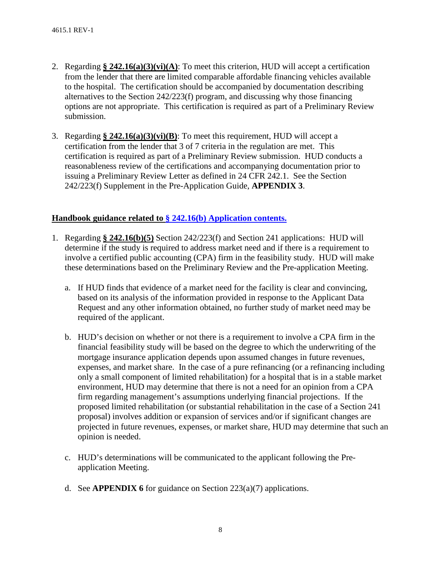- 2. Regarding **§ 242.16(a)(3)(vi)(A)**: To meet this criterion, HUD will accept a certification from the lender that there are limited comparable affordable financing vehicles available to the hospital. The certification should be accompanied by documentation describing alternatives to the Section 242/223(f) program, and discussing why those financing options are not appropriate. This certification is required as part of a Preliminary Review submission.
- 3. Regarding **§ 242.16(a)(3)(vi)(B)**: To meet this requirement, HUD will accept a certification from the lender that 3 of 7 criteria in the regulation are met. This certification is required as part of a Preliminary Review submission. HUD conducts a reasonableness review of the certifications and accompanying documentation prior to issuing a Preliminary Review Letter as defined in 24 CFR 242.1. See the Section 242/223(f) Supplement in the Pre-Application Guide, **APPENDIX 3**.

#### **Handbook guidance related to [§ 242.16\(b\) Application contents.](http://www.ecfr.gov/cgi-bin/text-idx?SID=6a2ea4601c11768df5381275aea632d0&mc=true&node=pt24.2.242&rgn=div5#se24.2.242_116)**

- 1. Regarding **§ 242.16(b)(5)** Section 242/223(f) and Section 241 applications: HUD will determine if the study is required to address market need and if there is a requirement to involve a certified public accounting (CPA) firm in the feasibility study. HUD will make these determinations based on the Preliminary Review and the Pre-application Meeting.
	- a. If HUD finds that evidence of a market need for the facility is clear and convincing, based on its analysis of the information provided in response to the Applicant Data Request and any other information obtained, no further study of market need may be required of the applicant.
	- b. HUD's decision on whether or not there is a requirement to involve a CPA firm in the financial feasibility study will be based on the degree to which the underwriting of the mortgage insurance application depends upon assumed changes in future revenues, expenses, and market share. In the case of a pure refinancing (or a refinancing including only a small component of limited rehabilitation) for a hospital that is in a stable market environment, HUD may determine that there is not a need for an opinion from a CPA firm regarding management's assumptions underlying financial projections. If the proposed limited rehabilitation (or substantial rehabilitation in the case of a Section 241 proposal) involves addition or expansion of services and/or if significant changes are projected in future revenues, expenses, or market share, HUD may determine that such an opinion is needed.
	- c. HUD's determinations will be communicated to the applicant following the Preapplication Meeting.
	- d. See **APPENDIX 6** for guidance on Section 223(a)(7) applications.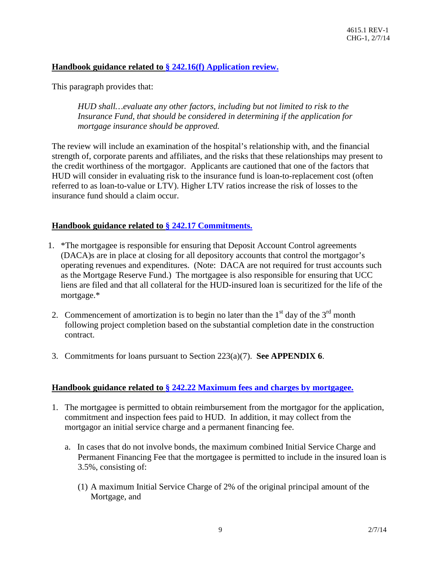#### **Handbook guidance related to [§ 242.16\(f\) Application review.](http://www.ecfr.gov/cgi-bin/text-idx?SID=6a2ea4601c11768df5381275aea632d0&mc=true&node=pt24.2.242&rgn=div5#se24.2.242_116)**

This paragraph provides that:

*HUD shall…evaluate any other factors, including but not limited to risk to the Insurance Fund, that should be considered in determining if the application for mortgage insurance should be approved.* 

The review will include an examination of the hospital's relationship with, and the financial strength of, corporate parents and affiliates, and the risks that these relationships may present to the credit worthiness of the mortgagor. Applicants are cautioned that one of the factors that HUD will consider in evaluating risk to the insurance fund is loan-to-replacement cost (often referred to as loan-to-value or LTV). Higher LTV ratios increase the risk of losses to the insurance fund should a claim occur.

#### **Handbook guidance related to [§ 242.17 Commitments.](http://www.ecfr.gov/cgi-bin/text-idx?SID=6a2ea4601c11768df5381275aea632d0&mc=true&node=pt24.2.242&rgn=div5#se24.2.242_117)**

- 1. \*The mortgagee is responsible for ensuring that Deposit Account Control agreements (DACA)s are in place at closing for all depository accounts that control the mortgagor's operating revenues and expenditures. (Note: DACA are not required for trust accounts such as the Mortgage Reserve Fund.) The mortgagee is also responsible for ensuring that UCC liens are filed and that all collateral for the HUD-insured loan is securitized for the life of the mortgage.\*
- 2. Commencement of amortization is to begin no later than the  $1<sup>st</sup>$  day of the  $3<sup>rd</sup>$  month following project completion based on the substantial completion date in the construction contract.
- 3. Commitments for loans pursuant to Section 223(a)(7). **See APPENDIX 6**.

#### **Handbook guidance related to [§ 242.22 Maximum fees and charges by mortgagee.](http://www.ecfr.gov/cgi-bin/text-idx?SID=6a2ea4601c11768df5381275aea632d0&mc=true&node=pt24.2.242&rgn=div5#se24.2.242_122)**

- 1. The mortgagee is permitted to obtain reimbursement from the mortgagor for the application, commitment and inspection fees paid to HUD. In addition, it may collect from the mortgagor an initial service charge and a permanent financing fee.
	- a. In cases that do not involve bonds, the maximum combined Initial Service Charge and Permanent Financing Fee that the mortgagee is permitted to include in the insured loan is 3.5%, consisting of:
		- (1) A maximum Initial Service Charge of 2% of the original principal amount of the Mortgage, and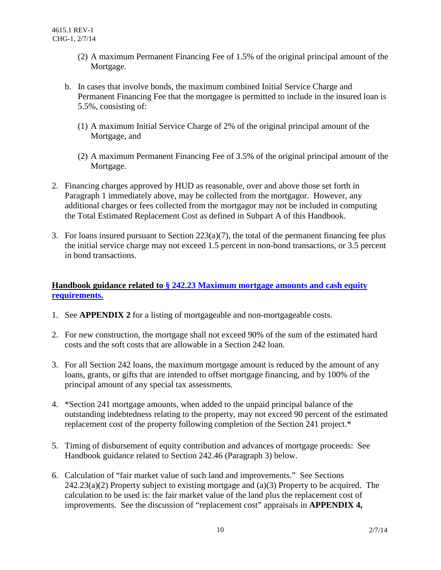- (2) A maximum Permanent Financing Fee of 1.5% of the original principal amount of the Mortgage.
- b. In cases that involve bonds, the maximum combined Initial Service Charge and Permanent Financing Fee that the mortgagee is permitted to include in the insured loan is 5.5%, consisting of:
	- (1) A maximum Initial Service Charge of 2% of the original principal amount of the Mortgage, and
	- (2) A maximum Permanent Financing Fee of 3.5% of the original principal amount of the Mortgage.
- 2. Financing charges approved by HUD as reasonable, over and above those set forth in Paragraph 1 immediately above, may be collected from the mortgagor. However, any additional charges or fees collected from the mortgagor may not be included in computing the Total Estimated Replacement Cost as defined in Subpart A of this Handbook.
- 3. For loans insured pursuant to Section  $223(a)(7)$ , the total of the permanent financing fee plus the initial service charge may not exceed 1.5 percent in non-bond transactions, or 3.5 percent in bond transactions.

#### **Handbook guidance related to [§ 242.23 Maximum mortgage amounts and cash equity](http://www.ecfr.gov/cgi-bin/text-idx?SID=6a2ea4601c11768df5381275aea632d0&mc=true&node=pt24.2.242&rgn=div5#se24.2.242_123)  [requirements.](http://www.ecfr.gov/cgi-bin/text-idx?SID=6a2ea4601c11768df5381275aea632d0&mc=true&node=pt24.2.242&rgn=div5#se24.2.242_123)**

- 1. See **APPENDIX 2** for a listing of mortgageable and non-mortgageable costs.
- 2. For new construction, the mortgage shall not exceed 90% of the sum of the estimated hard costs and the soft costs that are allowable in a Section 242 loan.
- 3. For all Section 242 loans, the maximum mortgage amount is reduced by the amount of any loans, grants, or gifts that are intended to offset mortgage financing, and by 100% of the principal amount of any special tax assessments.
- 4. \*Section 241 mortgage amounts, when added to the unpaid principal balance of the outstanding indebtedness relating to the property, may not exceed 90 percent of the estimated replacement cost of the property following completion of the Section 241 project.\*
- 5. Timing of disbursement of equity contribution and advances of mortgage proceeds: See Handbook guidance related to Section 242.46 (Paragraph 3) below.
- 6. Calculation of "fair market value of such land and improvements." See Sections  $242.23(a)(2)$  Property subject to existing mortgage and  $(a)(3)$  Property to be acquired. The calculation to be used is: the fair market value of the land plus the replacement cost of improvements. See the discussion of "replacement cost" appraisals in **APPENDIX 4,**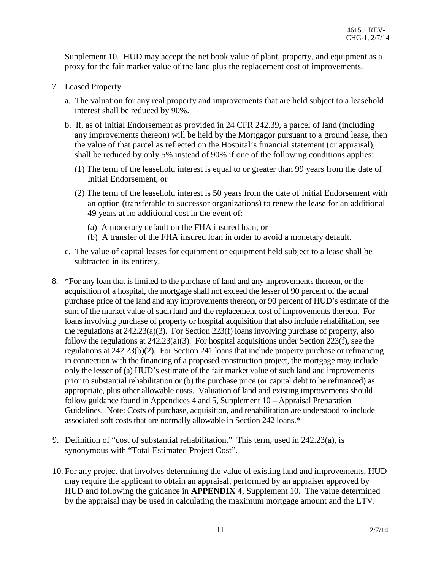Supplement 10. HUD may accept the net book value of plant, property, and equipment as a proxy for the fair market value of the land plus the replacement cost of improvements.

- 7. Leased Property
	- a. The valuation for any real property and improvements that are held subject to a leasehold interest shall be reduced by 90%.
	- b. If, as of Initial Endorsement as provided in 24 CFR 242.39, a parcel of land (including any improvements thereon) will be held by the Mortgagor pursuant to a ground lease, then the value of that parcel as reflected on the Hospital's financial statement (or appraisal), shall be reduced by only 5% instead of 90% if one of the following conditions applies:
		- (1) The term of the leasehold interest is equal to or greater than 99 years from the date of Initial Endorsement, or
		- (2) The term of the leasehold interest is 50 years from the date of Initial Endorsement with an option (transferable to successor organizations) to renew the lease for an additional 49 years at no additional cost in the event of:
			- (a) A monetary default on the FHA insured loan, or
			- (b) A transfer of the FHA insured loan in order to avoid a monetary default.
	- c. The value of capital leases for equipment or equipment held subject to a lease shall be subtracted in its entirety.
- 8. \*For any loan that is limited to the purchase of land and any improvements thereon, or the acquisition of a hospital, the mortgage shall not exceed the lesser of 90 percent of the actual purchase price of the land and any improvements thereon, or 90 percent of HUD's estimate of the sum of the market value of such land and the replacement cost of improvements thereon. For loans involving purchase of property or hospital acquisition that also include rehabilitation, see the regulations at 242.23(a)(3). For Section 223(f) loans involving purchase of property, also follow the regulations at 242.23(a)(3). For hospital acquisitions under Section 223(f), see the regulations at 242.23(b)(2). For Section 241 loans that include property purchase or refinancing in connection with the financing of a proposed construction project, the mortgage may include only the lesser of (a) HUD's estimate of the fair market value of such land and improvements prior to substantial rehabilitation or (b) the purchase price (or capital debt to be refinanced) as appropriate, plus other allowable costs. Valuation of land and existing improvements should follow guidance found in Appendices 4 and 5, Supplement 10 – Appraisal Preparation Guidelines. Note: Costs of purchase, acquisition, and rehabilitation are understood to include associated soft costs that are normally allowable in Section 242 loans.\*
- 9. Definition of "cost of substantial rehabilitation." This term, used in 242.23(a), is synonymous with "Total Estimated Project Cost".
- 10. For any project that involves determining the value of existing land and improvements, HUD may require the applicant to obtain an appraisal, performed by an appraiser approved by HUD and following the guidance in **APPENDIX 4**, Supplement 10. The value determined by the appraisal may be used in calculating the maximum mortgage amount and the LTV.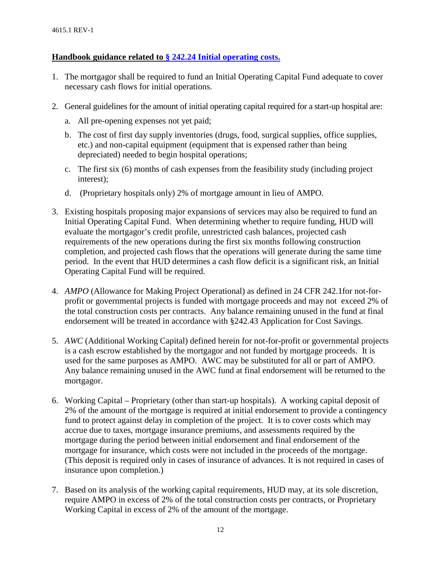#### **Handbook guidance related to [§ 242.24 Initial operating costs.](http://www.ecfr.gov/cgi-bin/text-idx?SID=6a2ea4601c11768df5381275aea632d0&mc=true&node=pt24.2.242&rgn=div5#se24.2.242_124)**

- 1. The mortgagor shall be required to fund an Initial Operating Capital Fund adequate to cover necessary cash flows for initial operations.
- 2. General guidelines for the amount of initial operating capital required for a start-up hospital are:
	- a. All pre-opening expenses not yet paid;
	- b. The cost of first day supply inventories (drugs, food, surgical supplies, office supplies, etc.) and non-capital equipment (equipment that is expensed rather than being depreciated) needed to begin hospital operations;
	- c. The first six (6) months of cash expenses from the feasibility study (including project interest);
	- d. (Proprietary hospitals only) 2% of mortgage amount in lieu of AMPO.
- 3. Existing hospitals proposing major expansions of services may also be required to fund an Initial Operating Capital Fund. When determining whether to require funding, HUD will evaluate the mortgagor's credit profile, unrestricted cash balances, projected cash requirements of the new operations during the first six months following construction completion, and projected cash flows that the operations will generate during the same time period. In the event that HUD determines a cash flow deficit is a significant risk, an Initial Operating Capital Fund will be required.
- 4. *AMPO* (Allowance for Making Project Operational) as defined in 24 CFR 242.1for not-forprofit or governmental projects is funded with mortgage proceeds and may not exceed 2% of the total construction costs per contracts. Any balance remaining unused in the fund at final endorsement will be treated in accordance with §242.43 Application for Cost Savings.
- 5. *AWC* (Additional Working Capital) defined herein for not-for-profit or governmental projects is a cash escrow established by the mortgagor and not funded by mortgage proceeds. It is used for the same purposes as AMPO. AWC may be substituted for all or part of AMPO. Any balance remaining unused in the AWC fund at final endorsement will be returned to the mortgagor.
- 6. Working Capital Proprietary (other than start-up hospitals). A working capital deposit of 2% of the amount of the mortgage is required at initial endorsement to provide a contingency fund to protect against delay in completion of the project. It is to cover costs which may accrue due to taxes, mortgage insurance premiums, and assessments required by the mortgage during the period between initial endorsement and final endorsement of the mortgage for insurance, which costs were not included in the proceeds of the mortgage. (This deposit is required only in cases of insurance of advances. It is not required in cases of insurance upon completion.)
- 7. Based on its analysis of the working capital requirements, HUD may, at its sole discretion, require AMPO in excess of 2% of the total construction costs per contracts, or Proprietary Working Capital in excess of 2% of the amount of the mortgage.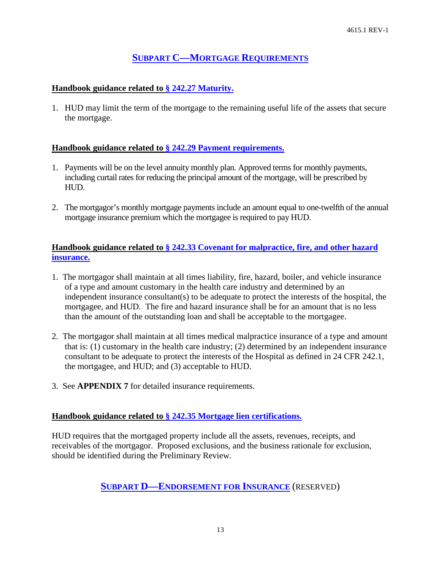#### **[S](http://www.ecfr.gov/cgi-bin/text-idx?SID=6a2ea4601c11768df5381275aea632d0&mc=true&node=pt24.2.242&rgn=div5#sp24.2.242.c)[UBPART](http://www.ecfr.gov/cgi-bin/text-idx?SID=6a2ea4601c11768df5381275aea632d0&mc=true&node=pt24.2.242&rgn=div5#sp24.2.242.c) [C—M](http://www.ecfr.gov/cgi-bin/text-idx?SID=6a2ea4601c11768df5381275aea632d0&mc=true&node=pt24.2.242&rgn=div5#sp24.2.242.c)[ORTGAGE](http://www.ecfr.gov/cgi-bin/text-idx?SID=6a2ea4601c11768df5381275aea632d0&mc=true&node=pt24.2.242&rgn=div5#sp24.2.242.c) [R](http://www.ecfr.gov/cgi-bin/text-idx?SID=6a2ea4601c11768df5381275aea632d0&mc=true&node=pt24.2.242&rgn=div5#sp24.2.242.c)[EQUIREMENTS](http://www.ecfr.gov/cgi-bin/text-idx?SID=6a2ea4601c11768df5381275aea632d0&mc=true&node=pt24.2.242&rgn=div5#sp24.2.242.c)**

#### **Handbook guidance related to [§ 242.27 Maturity.](http://www.ecfr.gov/cgi-bin/text-idx?SID=6a2ea4601c11768df5381275aea632d0&mc=true&node=pt24.2.242&rgn=div5#se24.2.242_127)**

1. HUD may limit the term of the mortgage to the remaining useful life of the assets that secure the mortgage.

#### **Handbook guidance related to [§ 242.29 Payment requirements.](http://www.ecfr.gov/cgi-bin/text-idx?c=ecfr&sid=f464dcb3a49331edbd0266e0293add53&rgn=div5&view=text&node=24:2.1.1.2.20&idno=24#24:2.1.1.2.20.3.223.5)**

- 1. Payments will be on the level annuity monthly plan. Approved terms for monthly payments, including curtail rates for reducing the principal amount of the mortgage, will be prescribed by HUD.
- 2. The mortgagor's monthly mortgage payments include an amount equal to one-twelfth of the annual mortgage insurance premium which the mortgagee is required to pay HUD.

#### **Handbook guidance related to [§ 242.33 Covenant for malpractice, fire, and other hazard](http://www.ecfr.gov/cgi-bin/text-idx?SID=6a2ea4601c11768df5381275aea632d0&mc=true&node=pt24.2.242&rgn=div5#se24.2.242_133)  [insurance.](http://www.ecfr.gov/cgi-bin/text-idx?SID=6a2ea4601c11768df5381275aea632d0&mc=true&node=pt24.2.242&rgn=div5#se24.2.242_133)**

- 1. The mortgagor shall maintain at all times liability, fire, hazard, boiler, and vehicle insurance of a type and amount customary in the health care industry and determined by an independent insurance consultant(s) to be adequate to protect the interests of the hospital, the mortgagee, and HUD. The fire and hazard insurance shall be for an amount that is no less than the amount of the outstanding loan and shall be acceptable to the mortgagee.
- 2. The mortgagor shall maintain at all times medical malpractice insurance of a type and amount that is: (1) customary in the health care industry; (2) determined by an independent insurance consultant to be adequate to protect the interests of the Hospital as defined in 24 CFR 242.1, the mortgagee, and HUD; and (3) acceptable to HUD.
- 3. See **APPENDIX 7** for detailed insurance requirements.

#### **Handbook guidance related to [§ 242.35 Mortgage lien certifications.](http://www.ecfr.gov/cgi-bin/text-idx?SID=6a2ea4601c11768df5381275aea632d0&mc=true&node=pt24.2.242&rgn=div5#se24.2.242_135)**

HUD requires that the mortgaged property include all the assets, revenues, receipts, and receivables of the mortgagor. Proposed exclusions, and the business rationale for exclusion, should be identified during the Preliminary Review.

**[S](http://www.ecfr.gov/cgi-bin/text-idx?SID=6a2ea4601c11768df5381275aea632d0&mc=true&node=pt24.2.242&rgn=div5#sp24.2.242.d)[UBPART](http://www.ecfr.gov/cgi-bin/text-idx?SID=6a2ea4601c11768df5381275aea632d0&mc=true&node=pt24.2.242&rgn=div5#sp24.2.242.d) [D—E](http://www.ecfr.gov/cgi-bin/text-idx?SID=6a2ea4601c11768df5381275aea632d0&mc=true&node=pt24.2.242&rgn=div5#sp24.2.242.d)[NDORSEMENT FOR](http://www.ecfr.gov/cgi-bin/text-idx?SID=6a2ea4601c11768df5381275aea632d0&mc=true&node=pt24.2.242&rgn=div5#sp24.2.242.d) [I](http://www.ecfr.gov/cgi-bin/text-idx?SID=6a2ea4601c11768df5381275aea632d0&mc=true&node=pt24.2.242&rgn=div5#sp24.2.242.d)[NSURANCE](http://www.ecfr.gov/cgi-bin/text-idx?SID=6a2ea4601c11768df5381275aea632d0&mc=true&node=pt24.2.242&rgn=div5#sp24.2.242.d)** (RESERVED)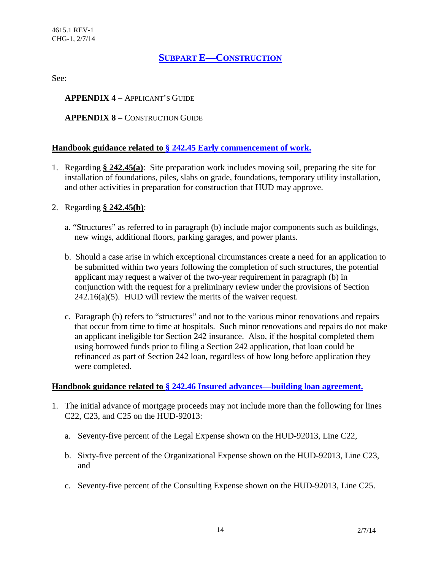#### **[S](http://www.ecfr.gov/cgi-bin/text-idx?SID=6a2ea4601c11768df5381275aea632d0&mc=true&node=pt24.2.242&rgn=div5#sp24.2.242.e)[UBPART](http://www.ecfr.gov/cgi-bin/text-idx?SID=6a2ea4601c11768df5381275aea632d0&mc=true&node=pt24.2.242&rgn=div5#sp24.2.242.e) [E—C](http://www.ecfr.gov/cgi-bin/text-idx?SID=6a2ea4601c11768df5381275aea632d0&mc=true&node=pt24.2.242&rgn=div5#sp24.2.242.e)[ONSTRUCTION](http://www.ecfr.gov/cgi-bin/text-idx?SID=6a2ea4601c11768df5381275aea632d0&mc=true&node=pt24.2.242&rgn=div5#sp24.2.242.e)**

See:

**APPENDIX 4** – APPLICANT'S GUIDE

**APPENDIX 8** – CONSTRUCTION GUIDE

#### **Handbook guidance related to [§ 242.45 Early commencement of work.](http://www.ecfr.gov/cgi-bin/text-idx?SID=6a2ea4601c11768df5381275aea632d0&mc=true&node=pt24.2.242&rgn=div5#se24.2.242_145)**

1. Regarding **§ 242.45(a)**: Site preparation work includes moving soil, preparing the site for installation of foundations, piles, slabs on grade, foundations, temporary utility installation, and other activities in preparation for construction that HUD may approve.

#### 2. Regarding **§ 242.45(b)**:

- a. "Structures" as referred to in paragraph (b) include major components such as buildings, new wings, additional floors, parking garages, and power plants.
- b. Should a case arise in which exceptional circumstances create a need for an application to be submitted within two years following the completion of such structures, the potential applicant may request a waiver of the two-year requirement in paragraph (b) in conjunction with the request for a preliminary review under the provisions of Section  $242.16(a)(5)$ . HUD will review the merits of the waiver request.
- c. Paragraph (b) refers to "structures" and not to the various minor renovations and repairs that occur from time to time at hospitals. Such minor renovations and repairs do not make an applicant ineligible for Section 242 insurance. Also, if the hospital completed them using borrowed funds prior to filing a Section 242 application, that loan could be refinanced as part of Section 242 loan, regardless of how long before application they were completed.

#### **Handbook guidance related to [§ 242.46 Insured advances—building loan agreement.](http://www.ecfr.gov/cgi-bin/text-idx?SID=6a2ea4601c11768df5381275aea632d0&mc=true&node=pt24.2.242&rgn=div5#se24.2.242_146)**

- 1. The initial advance of mortgage proceeds may not include more than the following for lines C22, C23, and C25 on the HUD-92013:
	- a. Seventy-five percent of the Legal Expense shown on the HUD-92013, Line C22,
	- b. Sixty-five percent of the Organizational Expense shown on the HUD-92013, Line C23, and
	- c. Seventy-five percent of the Consulting Expense shown on the HUD-92013, Line C25.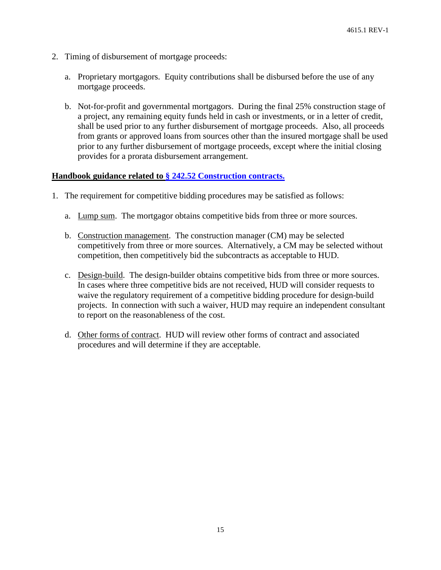- 2. Timing of disbursement of mortgage proceeds:
	- a. Proprietary mortgagors. Equity contributions shall be disbursed before the use of any mortgage proceeds.
	- b. Not-for-profit and governmental mortgagors. During the final 25% construction stage of a project, any remaining equity funds held in cash or investments, or in a letter of credit, shall be used prior to any further disbursement of mortgage proceeds. Also, all proceeds from grants or approved loans from sources other than the insured mortgage shall be used prior to any further disbursement of mortgage proceeds, except where the initial closing provides for a prorata disbursement arrangement.

#### **Handbook guidance related to [§ 242.52 Construction contracts.](http://www.ecfr.gov/cgi-bin/text-idx?SID=6a2ea4601c11768df5381275aea632d0&mc=true&node=pt24.2.242&rgn=div5#se24.2.242_152)**

- 1. The requirement for competitive bidding procedures may be satisfied as follows:
	- a. Lump sum. The mortgagor obtains competitive bids from three or more sources.
	- b. Construction management. The construction manager (CM) may be selected competitively from three or more sources. Alternatively, a CM may be selected without competition, then competitively bid the subcontracts as acceptable to HUD.
	- c. Design-build. The design-builder obtains competitive bids from three or more sources. In cases where three competitive bids are not received, HUD will consider requests to waive the regulatory requirement of a competitive bidding procedure for design-build projects. In connection with such a waiver, HUD may require an independent consultant to report on the reasonableness of the cost.
	- d. Other forms of contract. HUD will review other forms of contract and associated procedures and will determine if they are acceptable.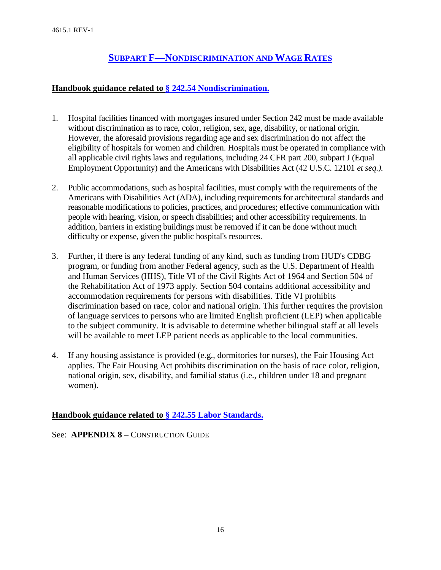#### **[S](http://www.ecfr.gov/cgi-bin/text-idx?SID=6a2ea4601c11768df5381275aea632d0&mc=true&node=pt24.2.242&rgn=div5#sp24.2.242.f)[UBPART](http://www.ecfr.gov/cgi-bin/text-idx?SID=6a2ea4601c11768df5381275aea632d0&mc=true&node=pt24.2.242&rgn=div5#sp24.2.242.f) [F—N](http://www.ecfr.gov/cgi-bin/text-idx?SID=6a2ea4601c11768df5381275aea632d0&mc=true&node=pt24.2.242&rgn=div5#sp24.2.242.f)[ONDISCRIMINATION AND](http://www.ecfr.gov/cgi-bin/text-idx?SID=6a2ea4601c11768df5381275aea632d0&mc=true&node=pt24.2.242&rgn=div5#sp24.2.242.f) [W](http://www.ecfr.gov/cgi-bin/text-idx?SID=6a2ea4601c11768df5381275aea632d0&mc=true&node=pt24.2.242&rgn=div5#sp24.2.242.f)[AGE](http://www.ecfr.gov/cgi-bin/text-idx?SID=6a2ea4601c11768df5381275aea632d0&mc=true&node=pt24.2.242&rgn=div5#sp24.2.242.f) [R](http://www.ecfr.gov/cgi-bin/text-idx?SID=6a2ea4601c11768df5381275aea632d0&mc=true&node=pt24.2.242&rgn=div5#sp24.2.242.f)[ATES](http://www.ecfr.gov/cgi-bin/text-idx?SID=6a2ea4601c11768df5381275aea632d0&mc=true&node=pt24.2.242&rgn=div5#sp24.2.242.f)**

#### **Handbook guidance related to [§ 242.54 Nondiscrimination.](http://www.ecfr.gov/cgi-bin/text-idx?SID=6a2ea4601c11768df5381275aea632d0&mc=true&node=pt24.2.242&rgn=div5#se24.2.242_154)**

- 1. Hospital facilities financed with mortgages insured under Section 242 must be made available without discrimination as to race, color, religion, sex, age, disability, or national origin. However, the aforesaid provisions regarding age and sex discrimination do not affect the eligibility of hospitals for women and children. Hospitals must be operated in compliance with all applicable civil rights laws and regulations, including 24 CFR part 200, subpart J (Equal Employment Opportunity) and the Americans with Disabilities Act (42 U.S.C. 12101 *et seq.).*
- 2. Public accommodations, such as hospital facilities, must comply with the requirements of the Americans with Disabilities Act (ADA), including requirements for architectural standards and reasonable modifications to policies, practices, and procedures; effective communication with people with hearing, vision, or speech disabilities; and other accessibility requirements. In addition, barriers in existing buildings must be removed if it can be done without much difficulty or expense, given the public hospital's resources.
- 3. Further, if there is any federal funding of any kind, such as funding from HUD's CDBG program, or funding from another Federal agency, such as the U.S. Department of Health and Human Services (HHS), Title VI of the Civil Rights Act of 1964 and Section 504 of the Rehabilitation Act of 1973 apply. Section 504 contains additional accessibility and accommodation requirements for persons with disabilities. Title VI prohibits discrimination based on race, color and national origin. This further requires the provision of language services to persons who are limited English proficient (LEP) when applicable to the subject community. It is advisable to determine whether bilingual staff at all levels will be available to meet LEP patient needs as applicable to the local communities.
- 4. If any housing assistance is provided (e.g., dormitories for nurses), the Fair Housing Act applies. The Fair Housing Act prohibits discrimination on the basis of race color, religion, national origin, sex, disability, and familial status (i.e., children under 18 and pregnant women).

#### **Handbook guidance related to [§ 242.55 Labor Standards.](http://www.ecfr.gov/cgi-bin/text-idx?SID=6a2ea4601c11768df5381275aea632d0&mc=true&node=pt24.2.242&rgn=div5#se24.2.242_155)**

#### See: **APPENDIX 8** – CONSTRUCTION GUIDE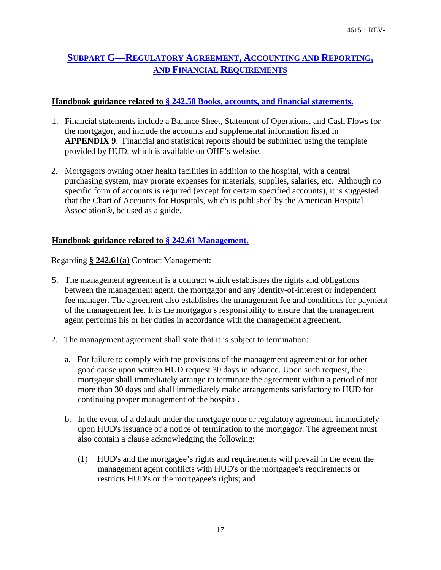#### **[S](http://www.ecfr.gov/cgi-bin/text-idx?SID=6a2ea4601c11768df5381275aea632d0&mc=true&node=pt24.2.242&rgn=div5#sp24.2.242.g)[UBPART](http://www.ecfr.gov/cgi-bin/text-idx?SID=6a2ea4601c11768df5381275aea632d0&mc=true&node=pt24.2.242&rgn=div5#sp24.2.242.g) [G—R](http://www.ecfr.gov/cgi-bin/text-idx?SID=6a2ea4601c11768df5381275aea632d0&mc=true&node=pt24.2.242&rgn=div5#sp24.2.242.g)[EGULATORY](http://www.ecfr.gov/cgi-bin/text-idx?SID=6a2ea4601c11768df5381275aea632d0&mc=true&node=pt24.2.242&rgn=div5#sp24.2.242.g) [A](http://www.ecfr.gov/cgi-bin/text-idx?SID=6a2ea4601c11768df5381275aea632d0&mc=true&node=pt24.2.242&rgn=div5#sp24.2.242.g)[GREEMENT](http://www.ecfr.gov/cgi-bin/text-idx?SID=6a2ea4601c11768df5381275aea632d0&mc=true&node=pt24.2.242&rgn=div5#sp24.2.242.g)[,](http://www.ecfr.gov/cgi-bin/text-idx?SID=6a2ea4601c11768df5381275aea632d0&mc=true&node=pt24.2.242&rgn=div5#sp24.2.242.g) [A](http://www.ecfr.gov/cgi-bin/text-idx?SID=6a2ea4601c11768df5381275aea632d0&mc=true&node=pt24.2.242&rgn=div5#sp24.2.242.g)[CCOUNTING AND](http://www.ecfr.gov/cgi-bin/text-idx?SID=6a2ea4601c11768df5381275aea632d0&mc=true&node=pt24.2.242&rgn=div5#sp24.2.242.g) [R](http://www.ecfr.gov/cgi-bin/text-idx?SID=6a2ea4601c11768df5381275aea632d0&mc=true&node=pt24.2.242&rgn=div5#sp24.2.242.g)[EPORTING](http://www.ecfr.gov/cgi-bin/text-idx?SID=6a2ea4601c11768df5381275aea632d0&mc=true&node=pt24.2.242&rgn=div5#sp24.2.242.g)[,](http://www.ecfr.gov/cgi-bin/text-idx?SID=6a2ea4601c11768df5381275aea632d0&mc=true&node=pt24.2.242&rgn=div5#sp24.2.242.g) AND FINANCIAL R[EQUIREMENTS](http://www.ecfr.gov/cgi-bin/text-idx?SID=6a2ea4601c11768df5381275aea632d0&mc=true&node=pt24.2.242&rgn=div5#sp24.2.242.g)**

#### **Handbook guidance related to [§ 242.58 Books, accounts, and financial statements.](http://www.ecfr.gov/cgi-bin/text-idx?SID=6a2ea4601c11768df5381275aea632d0&mc=true&node=pt24.2.242&rgn=div5#se24.2.242_158)**

- 1. Financial statements include a Balance Sheet, Statement of Operations, and Cash Flows for the mortgagor, and include the accounts and supplemental information listed in **APPENDIX 9**. Financial and statistical reports should be submitted using the template provided by HUD, which is available on OHF's website.
- 2. Mortgagors owning other health facilities in addition to the hospital, with a central purchasing system, may prorate expenses for materials, supplies, salaries, etc. Although no specific form of accounts is required (except for certain specified accounts), it is suggested that the Chart of Accounts for Hospitals, which is published by the American Hospital Association®, be used as a guide.

#### **Handbook guidance related to [§ 242.61 Management.](http://www.ecfr.gov/cgi-bin/text-idx?SID=6a2ea4601c11768df5381275aea632d0&mc=true&node=pt24.2.242&rgn=div5#se24.2.242_161)**

Regarding **§ 242.61(a)** Contract Management:

- 5. The management agreement is a contract which establishes the rights and obligations between the management agent, the mortgagor and any identity-of-interest or independent fee manager. The agreement also establishes the management fee and conditions for payment of the management fee. It is the mortgagor's responsibility to ensure that the management agent performs his or her duties in accordance with the management agreement.
- 2. The management agreement shall state that it is subject to termination:
	- a. For failure to comply with the provisions of the management agreement or for other good cause upon written HUD request 30 days in advance. Upon such request, the mortgagor shall immediately arrange to terminate the agreement within a period of not more than 30 days and shall immediately make arrangements satisfactory to HUD for continuing proper management of the hospital.
	- b. In the event of a default under the mortgage note or regulatory agreement, immediately upon HUD's issuance of a notice of termination to the mortgagor. The agreement must also contain a clause acknowledging the following:
		- (1) HUD's and the mortgagee's rights and requirements will prevail in the event the management agent conflicts with HUD's or the mortgagee's requirements or restricts HUD's or the mortgagee's rights; and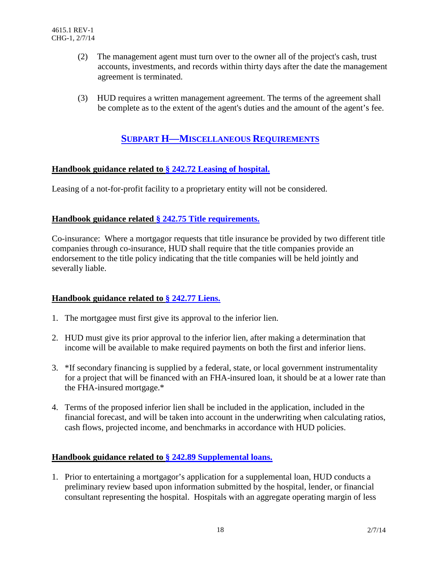- (2) The management agent must turn over to the owner all of the project's cash, trust accounts, investments, and records within thirty days after the date the management agreement is terminated.
- (3) HUD requires a written management agreement. The terms of the agreement shall be complete as to the extent of the agent's duties and the amount of the agent's fee.

#### **[S](http://www.ecfr.gov/cgi-bin/text-idx?SID=6a2ea4601c11768df5381275aea632d0&mc=true&node=pt24.2.242&rgn=div5#sp24.2.242.h)[UBPART](http://www.ecfr.gov/cgi-bin/text-idx?SID=6a2ea4601c11768df5381275aea632d0&mc=true&node=pt24.2.242&rgn=div5#sp24.2.242.h) [H—M](http://www.ecfr.gov/cgi-bin/text-idx?SID=6a2ea4601c11768df5381275aea632d0&mc=true&node=pt24.2.242&rgn=div5#sp24.2.242.h)[ISCELLANEOUS](http://www.ecfr.gov/cgi-bin/text-idx?SID=6a2ea4601c11768df5381275aea632d0&mc=true&node=pt24.2.242&rgn=div5#sp24.2.242.h) [R](http://www.ecfr.gov/cgi-bin/text-idx?SID=6a2ea4601c11768df5381275aea632d0&mc=true&node=pt24.2.242&rgn=div5#sp24.2.242.h)[EQUIREMENTS](http://www.ecfr.gov/cgi-bin/text-idx?SID=6a2ea4601c11768df5381275aea632d0&mc=true&node=pt24.2.242&rgn=div5#sp24.2.242.h)**

#### **Handbook guidance related to [§ 242.72 Leasing of hospital.](http://www.ecfr.gov/cgi-bin/text-idx?SID=6a2ea4601c11768df5381275aea632d0&mc=true&node=pt24.2.242&rgn=div5#se24.2.242_172)**

Leasing of a not-for-profit facility to a proprietary entity will not be considered.

#### **Handbook guidance related [§ 242.75 Title requirements.](http://www.ecfr.gov/cgi-bin/text-idx?SID=6a2ea4601c11768df5381275aea632d0&mc=true&node=pt24.2.242&rgn=div5#se24.2.242_175)**

Co-insurance: Where a mortgagor requests that title insurance be provided by two different title companies through co-insurance, HUD shall require that the title companies provide an endorsement to the title policy indicating that the title companies will be held jointly and severally liable.

#### **Handbook guidance related to [§ 242.77 Liens.](http://www.ecfr.gov/cgi-bin/text-idx?SID=6a2ea4601c11768df5381275aea632d0&mc=true&node=pt24.2.242&rgn=div5#se24.2.242_177)**

- 1. The mortgagee must first give its approval to the inferior lien.
- 2. HUD must give its prior approval to the inferior lien, after making a determination that income will be available to make required payments on both the first and inferior liens.
- 3. \*If secondary financing is supplied by a federal, state, or local government instrumentality for a project that will be financed with an FHA-insured loan, it should be at a lower rate than the FHA-insured mortgage.\*
- 4. Terms of the proposed inferior lien shall be included in the application, included in the financial forecast, and will be taken into account in the underwriting when calculating ratios, cash flows, projected income, and benchmarks in accordance with HUD policies.

#### **Handbook guidance related to [§ 242.89 Supplemental loans.](http://www.ecfr.gov/cgi-bin/text-idx?SID=6a2ea4601c11768df5381275aea632d0&mc=true&node=pt24.2.242&rgn=div5#se24.2.242_189)**

1. Prior to entertaining a mortgagor's application for a supplemental loan, HUD conducts a preliminary review based upon information submitted by the hospital, lender, or financial consultant representing the hospital. Hospitals with an aggregate operating margin of less